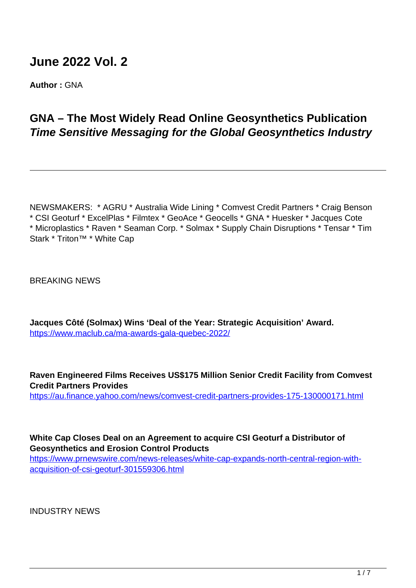# **June 2022 Vol. 2**

**Author :** GNA

# **GNA – The Most Widely Read Online Geosynthetics Publication Time Sensitive Messaging for the Global Geosynthetics Industry**

NEWSMAKERS: \* AGRU \* Australia Wide Lining \* Comvest Credit Partners \* Craig Benson \* CSI Geoturf \* ExcelPlas \* Filmtex \* GeoAce \* Geocells \* GNA \* Huesker \* Jacques Cote \* Microplastics \* Raven \* Seaman Corp. \* Solmax \* Supply Chain Disruptions \* Tensar \* Tim Stark \* Triton™ \* White Cap

BREAKING NEWS

**Jacques Côté (Solmax) Wins 'Deal of the Year: Strategic Acquisition' Award.** <https://www.maclub.ca/ma-awards-gala-quebec-2022/>

**Raven Engineered Films Receives US\$175 Million Senior Credit Facility from Comvest Credit Partners Provides**

https://au.finance.yahoo.com/news/comvest-credit-partners-provides-175-130000171.html

**White Cap Closes Deal on an Agreement to acquire CSI Geoturf a Distributor of Geosynthetics and Erosion Control Products**

https://www.prnewswire.com/news-releases/white-cap-expands-north-central-region-withacquisition-of-csi-geoturf-301559306.html

INDUSTRY NEWS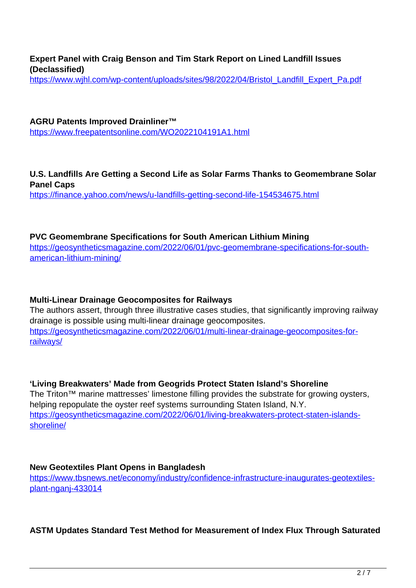**Expert Panel with Craig Benson and Tim Stark Report on Lined Landfill Issues (Declassified)**

https://www.wjhl.com/wp-content/uploads/sites/98/2022/04/Bristol\_Landfill\_Expert\_Pa.pdf

**AGRU Patents Improved Drainliner™** https://www.freepatentsonline.com/WO2022104191A1.html

**U.S. Landfills Are Getting a Second Life as Solar Farms Thanks to Geomembrane Solar Panel Caps**

https://finance.yahoo.com/news/u-landfills-getting-second-life-154534675.html

#### **PVC Geomembrane Specifications for South American Lithium Mining**

https://geosyntheticsmagazine.com/2022/06/01/pvc-geomembrane-specifications-for-southamerican-lithium-mining/

#### **Multi-Linear Drainage Geocomposites for Railways**

The authors assert, through three illustrative cases studies, that significantly improving railway drainage is possible using multi-linear drainage geocomposites. https://geosyntheticsmagazine.com/2022/06/01/multi-linear-drainage-geocomposites-forrailways/

# **'Living Breakwaters' Made from Geogrids Protect Staten Island's Shoreline**

The Triton™ marine mattresses' limestone filling provides the substrate for growing oysters, helping repopulate the oyster reef systems surrounding Staten Island, N.Y. https://geosyntheticsmagazine.com/2022/06/01/living-breakwaters-protect-staten-islandsshoreline/

#### **New Geotextiles Plant Opens in Bangladesh**

https://www.tbsnews.net/economy/industry/confidence-infrastructure-inaugurates-geotextilesplant-nganj-433014

#### **ASTM Updates Standard Test Method for Measurement of Index Flux Through Saturated**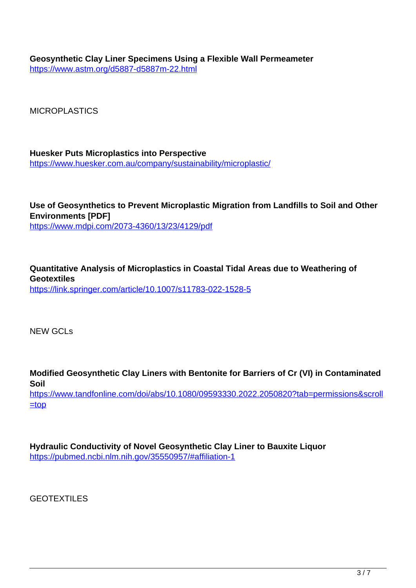**Geosynthetic Clay Liner Specimens Using a Flexible Wall Permeameter** https://www.astm.org/d5887-d5887m-22.html

**MICROPLASTICS** 

**Huesker Puts Microplastics into Perspective** https://www.huesker.com.au/company/sustainability/microplastic/

**Use of Geosynthetics to Prevent Microplastic Migration from Landfills to Soil and Other Environments [PDF]** https://www.mdpi.com/2073-4360/13/23/4129/pdf

**Quantitative Analysis of Microplastics in Coastal Tidal Areas due to Weathering of Geotextiles** https://link.springer.com/article/10.1007/s11783-022-1528-5

NEW GCLs

**Modified Geosynthetic Clay Liners with Bentonite for Barriers of Cr (VI) in Contaminated Soil** https://www.tandfonline.com/doi/abs/10.1080/09593330.2022.2050820?tab=permissions&scroll  $\equiv$ top

**Hydraulic Conductivity of Novel Geosynthetic Clay Liner to Bauxite Liquor** https://pubmed.ncbi.nlm.nih.gov/35550957/#affiliation-1

GEOTEXTILES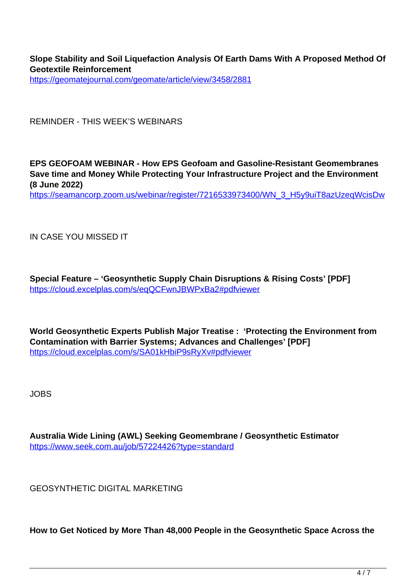**Slope Stability and Soil Liquefaction Analysis Of Earth Dams With A Proposed Method Of Geotextile Reinforcement**

https://geomatejournal.com/geomate/article/view/3458/2881

REMINDER - THIS WEEK'S WEBINARS

**EPS GEOFOAM WEBINAR - How EPS Geofoam and Gasoline-Resistant Geomembranes Save time and Money While Protecting Your Infrastructure Project and the Environment (8 June 2022)**

https://seamancorp.zoom.us/webinar/register/7216533973400/WN\_3\_H5y9uiT8azUzeqWcisDw

IN CASE YOU MISSED IT

**Special Feature – 'Geosynthetic Supply Chain Disruptions & Rising Costs' [PDF]** https://cloud.excelplas.com/s/eqQCFwnJBWPxBa2#pdfviewer

**World Geosynthetic Experts Publish Major Treatise : 'Protecting the Environment from Contamination with Barrier Systems; Advances and Challenges' [PDF]** https://cloud.excelplas.com/s/SA01kHbiP9sRyXv#pdfviewer

JOBS

**Australia Wide Lining (AWL) Seeking Geomembrane / Geosynthetic Estimator** https://www.seek.com.au/job/57224426?type=standard

GEOSYNTHETIC DIGITAL MARKETING

**How to Get Noticed by More Than 48,000 People in the Geosynthetic Space Across the**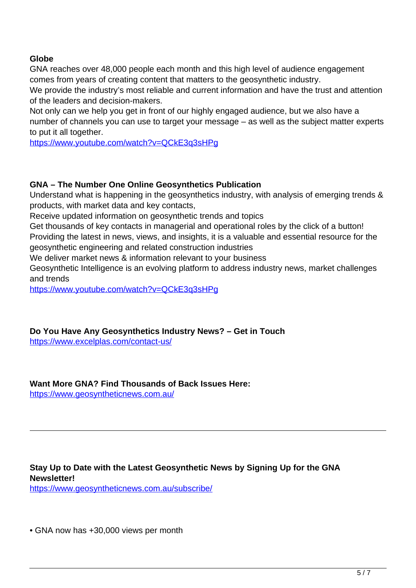### **Globe**

GNA reaches over 48,000 people each month and this high level of audience engagement comes from years of creating content that matters to the geosynthetic industry.

We provide the industry's most reliable and current information and have the trust and attention of the leaders and decision-makers.

Not only can we help you get in front of our highly engaged audience, but we also have a number of channels you can use to target your message – as well as the subject matter experts to put it all together.

https://www.youtube.com/watch?v=QCkE3q3sHPg

#### **GNA – The Number One Online Geosynthetics Publication**

Understand what is happening in the geosynthetics industry, with analysis of emerging trends & products, with market data and key contacts,

Receive updated information on geosynthetic trends and topics

Get thousands of key contacts in managerial and operational roles by the click of a button! Providing the latest in news, views, and insights, it is a valuable and essential resource for the geosynthetic engineering and related construction industries

We deliver market news & information relevant to your business

Geosynthetic Intelligence is an evolving platform to address industry news, market challenges and trends

https://www.youtube.com/watch?v=QCkE3q3sHPg

**Do You Have Any Geosynthetics Industry News? – Get in Touch**

https://www.excelplas.com/contact-us/

**Want More GNA? Find Thousands of Back Issues Here:**

https://www.geosyntheticnews.com.au/

**Stay Up to Date with the Latest Geosynthetic News by Signing Up for the GNA Newsletter!** https://www.geosyntheticnews.com.au/subscribe/

• GNA now has +30,000 views per month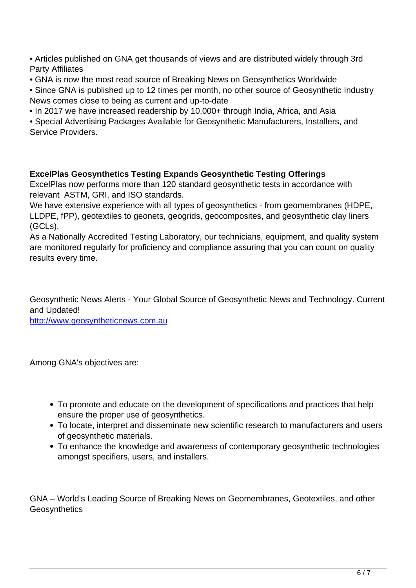• Articles published on GNA get thousands of views and are distributed widely through 3rd Party Affiliates

- GNA is now the most read source of Breaking News on Geosynthetics Worldwide
- Since GNA is published up to 12 times per month, no other source of Geosynthetic Industry News comes close to being as current and up-to-date
- In 2017 we have increased readership by 10,000+ through India, Africa, and Asia

• Special Advertising Packages Available for Geosynthetic Manufacturers, Installers, and Service Providers.

### **ExcelPlas Geosynthetics Testing Expands Geosynthetic Testing Offerings**

ExcelPlas now performs more than 120 standard geosynthetic tests in accordance with relevant ASTM, GRI, and ISO standards.

We have extensive experience with all types of geosynthetics - from geomembranes (HDPE, LLDPE, fPP), geotextiles to geonets, geogrids, geocomposites, and geosynthetic clay liners (GCLs).

As a Nationally Accredited Testing Laboratory, our technicians, equipment, and quality system are monitored regularly for proficiency and compliance assuring that you can count on quality results every time.

Geosynthetic News Alerts - Your Global Source of Geosynthetic News and Technology. Current and Updated!

http://www.geosyntheticnews.com.au

Among GNA's objectives are:

- To promote and educate on the development of specifications and practices that help ensure the proper use of geosynthetics.
- To locate, interpret and disseminate new scientific research to manufacturers and users of geosynthetic materials.
- To enhance the knowledge and awareness of contemporary geosynthetic technologies amongst specifiers, users, and installers.

GNA – World's Leading Source of Breaking News on Geomembranes, Geotextiles, and other **Geosynthetics**